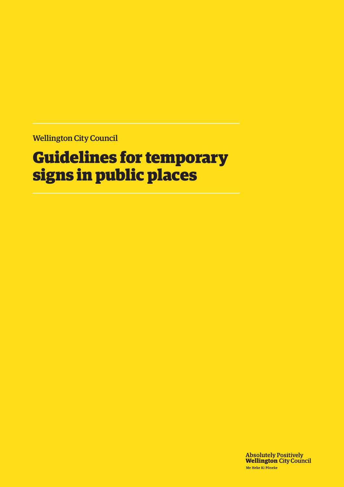Wellington City Council

# Guidelines for temporary signs in public places

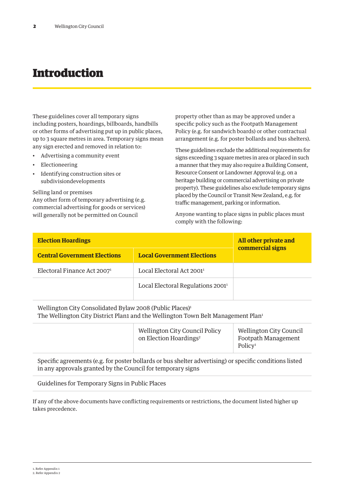### Introduction

These guidelines cover all temporary signs including posters, hoardings, billboards, handbills or other forms of advertising put up in public places, up to 3 square metres in area. Temporary signs mean any sign erected and removed in relation to:

- Advertising a community event
- Electioneering
- Identifying construction sites or subdivisiondevelopments

Selling land or premises Any other form of temporary advertising (e.g. commercial advertising for goods or services) will generally not be permitted on Council

property other than as may be approved under a specific policy such as the Footpath Management Policy (e.g. for sandwich boards) or other contractual arrangement (e.g. for poster bollards and bus shelters).

These guidelines exclude the additional requirements for signs exceeding 3 square metres in area or placed in such a manner that they may also require a Building Consent, Resource Consent or Landowner Approval (e.g. on a heritage building or commercial advertising on private property). These guidelines also exclude temporary signs placed by the Council or Transit New Zealand, e.g. for traffic management, parking or information.

Anyone wanting to place signs in public places must comply with the following:

| <b>Election Hoardings</b>               |                                               | All other private and<br>commercial signs |
|-----------------------------------------|-----------------------------------------------|-------------------------------------------|
| <b>Central Government Elections</b>     | <b>Local Government Elections</b>             |                                           |
| Electoral Finance Act 2007 <sup>1</sup> | Local Electoral Act $20011$                   |                                           |
|                                         | Local Electoral Regulations 2001 <sup>1</sup> |                                           |

Wellington City Consolidated Bylaw 2008 (Public Places)<sup>1</sup> The Wellington City District Plan1 and the Wellington Town Belt Management Plan<sup>1</sup>

|  | <b>Wellington City Council Policy</b><br>on Election Hoardings <sup>2</sup> | <b>Wellington City Council</b><br>Footpath Management<br>Policy <sup>1</sup> |
|--|-----------------------------------------------------------------------------|------------------------------------------------------------------------------|
|--|-----------------------------------------------------------------------------|------------------------------------------------------------------------------|

Specific agreements (e.g. for poster bollards or bus shelter advertising) or specific conditions listed in any approvals granted by the Council for temporary signs

Guidelines for Temporary Signs in Public Places

If any of the above documents have conflicting requirements or restrictions, the document listed higher up takes precedence.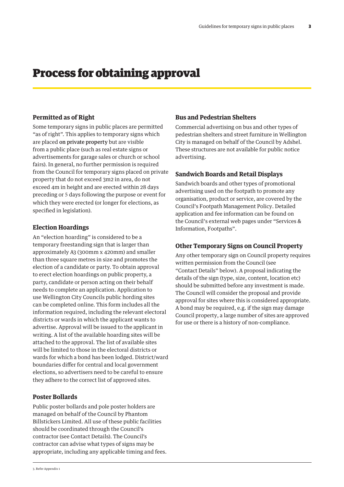### Process for obtaining approval

### **Permitted as of Right**

Some temporary signs in public places are permitted "as of right". This applies to temporary signs which are placed on private property but are visible from a public place (such as real estate signs or advertisements for garage sales or church or school fairs). In general, no further permission is required from the Council for temporary signs placed on private property that do not exceed 3m2 in area, do not exceed 4m in height and are erected within 28 days preceding or 5 days following the purpose or event for which they were erected (or longer for elections, as specified in legislation).

### **Election Hoardings**

An "election hoarding" is considered to be a temporary freestanding sign that is larger than approximately A3 (300mm x 420mm) and smaller than three square metres in size and promotes the election of a candidate or party. To obtain approval to erect election hoardings on public property, a party, candidate or person acting on their behalf needs to complete an application. Application to use Wellington City Councils public hording sites can be completed online. This form includes all the information required, including the relevant electoral districts or wards in which the applicant wants to advertise. Approval will be issued to the applicant in writing. A list of the available hoarding sites will be attached to the approval. The list of available sites will be limited to those in the electoral districts or wards for which a bond has been lodged. District/ward boundaries differ for central and local government elections, so advertisers need to be careful to ensure they adhere to the correct list of approved sites.

### **Poster Bollards**

Public poster bollards and pole poster holders are managed on behalf of the Council by Phantom Billstickers Limited. All use of these public facilities should be coordinated through the Council's contractor (see Contact Details). The Council's contractor can advise what types of signs may be appropriate, including any applicable timing and fees.

### **Bus and Pedestrian Shelters**

Commercial advertising on bus and other types of pedestrian shelters and street furniture in Wellington City is managed on behalf of the Council by Adshel. These structures are not available for public notice advertising.

### **Sandwich Boards and Retail Displays**

Sandwich boards and other types of promotional advertising used on the footpath to promote any organisation, product or service, are covered by the Council's Footpath Management Policy. Detailed application and fee information can be found on the Council's external web pages under "Services & Information, Footpaths".

### **Other Temporary Signs on Council Property**

Any other temporary sign on Council property requires written permission from the Council (see "Contact Details" below). A proposal indicating the details of the sign (type, size, content, location etc) should be submitted before any investment is made. The Council will consider the proposal and provide approval for sites where this is considered appropriate. A bond may be required, e.g. if the sign may damage Council property, a large number of sites are approved for use or there is a history of non-compliance.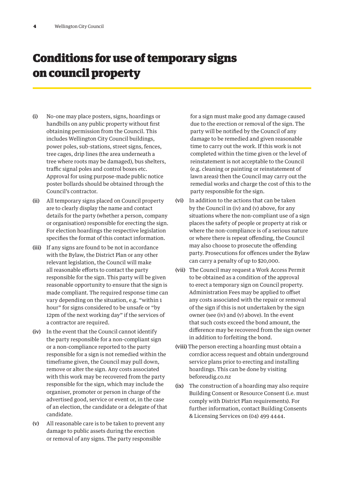# Conditions for use of temporary signs on council property

- (i) No-one may place posters, signs, hoardings or handbills on any public property without first obtaining permission from the Council. This includes Wellington City Council buildings, power poles, sub-stations, street signs, fences, tree cages, drip lines (the area underneath a tree where roots may be damaged), bus shelters, traffic signal poles and control boxes etc. Approval for using purpose-made public notice poster bollards should be obtained through the Council's contractor.
- (ii) All temporary signs placed on Council property are to clearly display the name and contact details for the party (whether a person, company or organisation) responsible for erecting the sign. For election hoardings the respective legislation specifies the format of this contact information.
- (iii) If any signs are found to be not in accordance with the Bylaw, the District Plan or any other relevant legislation, the Council will make all reasonable efforts to contact the party responsible for the sign. This party will be given reasonable opportunity to ensure that the sign is made compliant. The required response time can vary depending on the situation, e.g. "within 1 hour" for signs considered to be unsafe or "by 12pm of the next working day" if the services of a contractor are required.
- (iv) In the event that the Council cannot identify the party responsible for a non-compliant sign or a non-compliance reported to the party responsible for a sign is not remedied within the timeframe given, the Council may pull down, remove or alter the sign. Any costs associated with this work may be recovered from the party responsible for the sign, which may include the organiser, promoter or person in charge of the advertised good, service or event or, in the case of an election, the candidate or a delegate of that candidate.
- (v) All reasonable care is to be taken to prevent any damage to public assets during the erection or removal of any signs. The party responsible

for a sign must make good any damage caused due to the erection or removal of the sign. The party will be notified by the Council of any damage to be remedied and given reasonable time to carry out the work. If this work is not completed within the time given or the level of reinstatement is not acceptable to the Council (e.g. cleaning or painting or reinstatement of lawn areas) then the Council may carry out the remedial works and charge the cost of this to the party responsible for the sign.

- (vi) In addition to the actions that can be taken by the Council in (iv) and (v) above, for any situations where the non-compliant use of a sign places the safety of people or property at risk or where the non-compliance is of a serious nature or where there is repeat offending, the Council may also choose to prosecute the offending party. Prosecutions for offences under the Bylaw can carry a penalty of up to \$20,000.
- (vii) The Council may request a Work Access Permit to be obtained as a condition of the approval to erect a temporary sign on Council property. Administration Fees may be applied to offset any costs associated with the repair or removal of the sign if this is not undertaken by the sign owner (see (iv) and (v) above). In the event that such costs exceed the bond amount, the difference may be recovered from the sign owner in addition to forfeiting the bond.
- (viii) The person erecting a hoarding must obtain a corrdior access request and obtain underground service plans prior to erecting and installing hoardings. This can be done by visiting beforeudig.co.nz
- (ix) The construction of a hoarding may also require Building Consent or Resource Consent (i.e. must comply with District Plan requirements). For further information, contact Building Consents & Licensing Services on (04) 499 4444.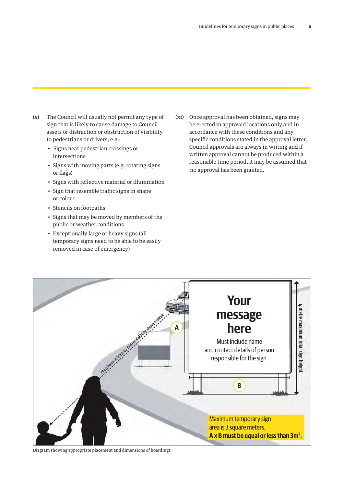(x) The Council will usually not permit any type of  $(xi)$  Once approval has  $x_i$  and  $x_j$  in that is likely to come down at  $S$  council sign that is likely to cause damage to Council assets or distraction or obstruction of visibility to pedestrians or drivers, e.g.:

Signs near pedestrian crossings or intersections

- Signs near pedestrian crossings or intersections ections write
- or flags)
- Signs with reflective material or illumination
- $\bullet$  Sign that resemble traffic signs in shape or colour  $\Omega$  colour
- $\bullet$  Stencils on footpaths
- Signs that may be moved by members of the public or weather conditions
- Exceptionally large or heavy signs (all temporary signs need to be able to be easily removed in case of emergency) and if we always in writing and if we always in writing and if we always in writ

• Signs with moving parts (e.g. rotating signs Feasonable time period, it may be assumed the name and contact details of the name and contact details of the name and contact details of the name and contact details of the p (xi) Once approval has been obtained, signs may be erected in approved locations only and in accordance with these conditions and any destrians or drivers, e.g.: The move of the specific conditions stated in the approval letter. gns near pedestrian crossings or heavy signs are always in writing and if written approval cannot be produced within a reasonable time period, it may be assumed that no approval has been granted.



Diagram showing appropriate placement and dimensions of hoardings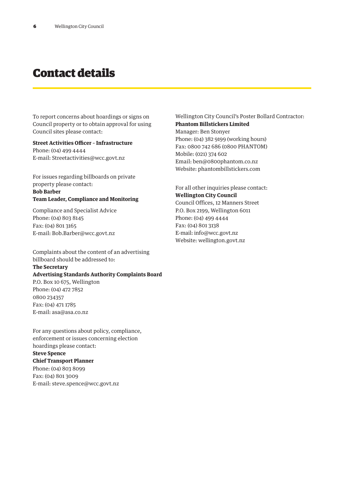### Contact details

To report concerns about hoardings or signs on Council property or to obtain approval for using Council sites please contact:

**Street Activities Officer – Infrastructure** Phone: (04) 499 4444 E-mail: Streetactivities@wcc.govt.nz

For issues regarding billboards on private property please contact:

### **Bob Barber Team Leader, Compliance and Monitoring**

Compliance and Specialist Advice Phone: (04) 803 8145 Fax: (04) 801 3165 E-mail: Bob.Barber@wcc.govt.nz

Complaints about the content of an advertising billboard should be addressed to:

### **The Secretary**

**Advertising Standards Authority Complaints Board** P.O. Box 10 675, Wellington Phone: (04) 472 7852

0800 234357 Fax: (04) 471 1785 E-mail: asa@asa.co.nz

For any questions about policy, compliance, enforcement or issues concerning election hoardings please contact:

#### **Steve Spence**

**Chief Transport Planner** Phone: (04) 803 8099 Fax: (04) 801 3009 E-mail: steve.spence@wcc.govt.nz

### Wellington City Council's Poster Bollard Contractor: **Phantom Billstickers Limited**

Manager: Ben Stonyer Phone: (04) 382 9199 (working hours) Fax: 0800 742 686 (0800 PHANTOM) Mobile: (021) 374 602 Email: ben@0800phantom.co.nz Website: phantombillstickers.com

For all other inquiries please contact: **Wellington City Council** Council Offices, 12 Manners Street P.O. Box 2199, Wellington 6011 Phone: (04) 499 4444 Fax: (04) 801 3138 E-mail: info@wcc.govt.nz Website: wellington.govt.nz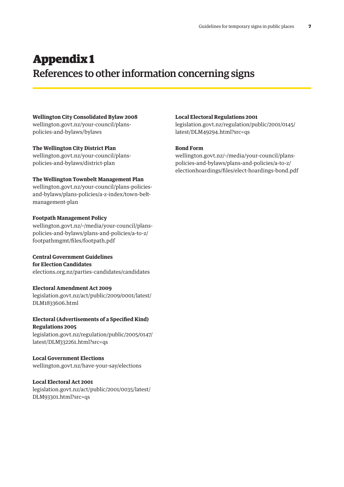### Appendix 1 References to other information concerning signs

### **Wellington City Consolidated Bylaw 2008** wellington.govt.nz/your-council/plans-

policies-and-bylaws/bylaws

### **The Wellington City District Plan**

wellington.govt.nz/your-council/planspolicies-and-bylaws/district-plan

### **The Wellington Townbelt Management Plan**

wellington.govt.nz/your-council/plans-policiesand-bylaws/plans-policies/a-z-index/town-beltmanagement-plan

### **Footpath Management Policy**

wellington.govt.nz/~/media/your-council/planspolicies-and-bylaws/plans-and-policies/a-to-z/ footpathmgmt/files/footpath.pdf

#### **Central Government Guidelines for Election Candidates**

elections.org.nz/parties-candidates/candidates

### **Electoral Amendment Act 2009**

legislation.govt.nz/act/public/2009/0001/latest/ DLM1833606.html

### **Electoral (Advertisements of a Specified Kind) Regulations 2005**

legislation.govt.nz/regulation/public/2005/0147/ latest/DLM332261.html?src=qs

### **Local Government Elections**

wellington.govt.nz/have-your-say/elections

### **Local Electoral Act 2001**

legislation.govt.nz/act/public/2001/0035/latest/ DLM93301.html?src=qs

#### **Local Electoral Regulations 2001**

legislation.govt.nz/regulation/public/2001/0145/ latest/DLM49294.html?src=qs

### **Bond Form**

wellington.govt.nz/~/media/your-council/planspolicies-and-bylaws/plans-and-policies/a-to-z/ electionhoardings/files/elect-hoardings-bond.pdf